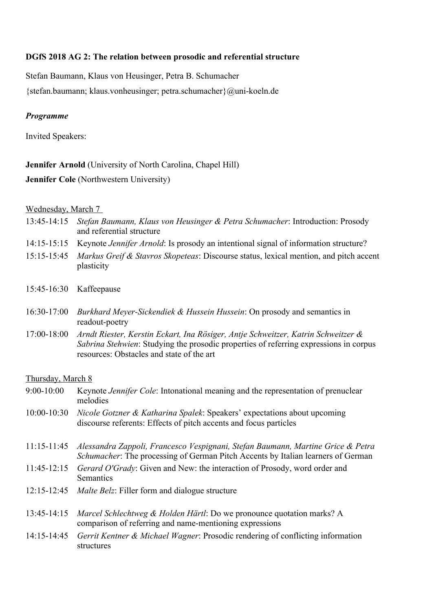# **DGfS 2018 AG 2: The relation between prosodic and referential structure**

Stefan Baumann, Klaus von Heusinger, Petra B. Schumacher

{stefan.baumann; klaus.vonheusinger; petra.schumacher}@uni-koeln.de

# *Programme*

Invited Speakers:

# **Jennifer Arnold** (University of North Carolina, Chapel Hill)

# **Jennifer Cole** (Northwestern University)

### Wednesday, March 7

- 13:45-14:15 *Stefan Baumann, Klaus von Heusinger & Petra Schumacher*: Introduction: Prosody and referential structure
- 14:15-15:15 Keynote *Jennifer Arnold*: Is prosody an intentional signal of information structure?
- 15:15-15:45 *Markus Greif & Stavros Skopeteas*: Discourse status, lexical mention, and pitch accent plasticity
- 15:45-16:30 Kaffeepause
- 16:30-17:00 *Burkhard Meyer-Sickendiek & Hussein Hussein*: On prosody and semantics in readout-poetry
- 17:00-18:00 *Arndt Riester, Kerstin Eckart, Ina Rösiger, Antje Schweitzer, Katrin Schweitzer & Sabrina Stehwien*: Studying the prosodic properties of referring expressions in corpus resources: Obstacles and state of the art

# Thursday, March 8

| $9:00-10:00$    | Keynote <i>Jennifer Cole</i> : Intonational meaning and the representation of prenuclear<br>melodies                                                                |
|-----------------|---------------------------------------------------------------------------------------------------------------------------------------------------------------------|
| $10:00 - 10:30$ | <i>Nicole Gotzner &amp; Katharina Spalek: Speakers' expectations about upcoming</i><br>discourse referents: Effects of pitch accents and focus particles            |
| $11:15-11:45$   | Alessandra Zappoli, Francesco Vespignani, Stefan Baumann, Martine Grice & Petra<br>Schumacher: The processing of German Pitch Accents by Italian learners of German |
| $11:45-12:15$   | Gerard O'Grady: Given and New: the interaction of Prosody, word order and<br>Semantics                                                                              |
| $12:15 - 12:45$ | <i>Malte Belz:</i> Filler form and dialogue structure                                                                                                               |
| $13:45-14:15$   | <i>Marcel Schlechtweg &amp; Holden Härtl:</i> Do we pronounce quotation marks? A<br>comparison of referring and name-mentioning expressions                         |
| $14:15 - 14:45$ | <i>Gerrit Kentner &amp; Michael Wagner:</i> Prosodic rendering of conflicting information<br>structures                                                             |